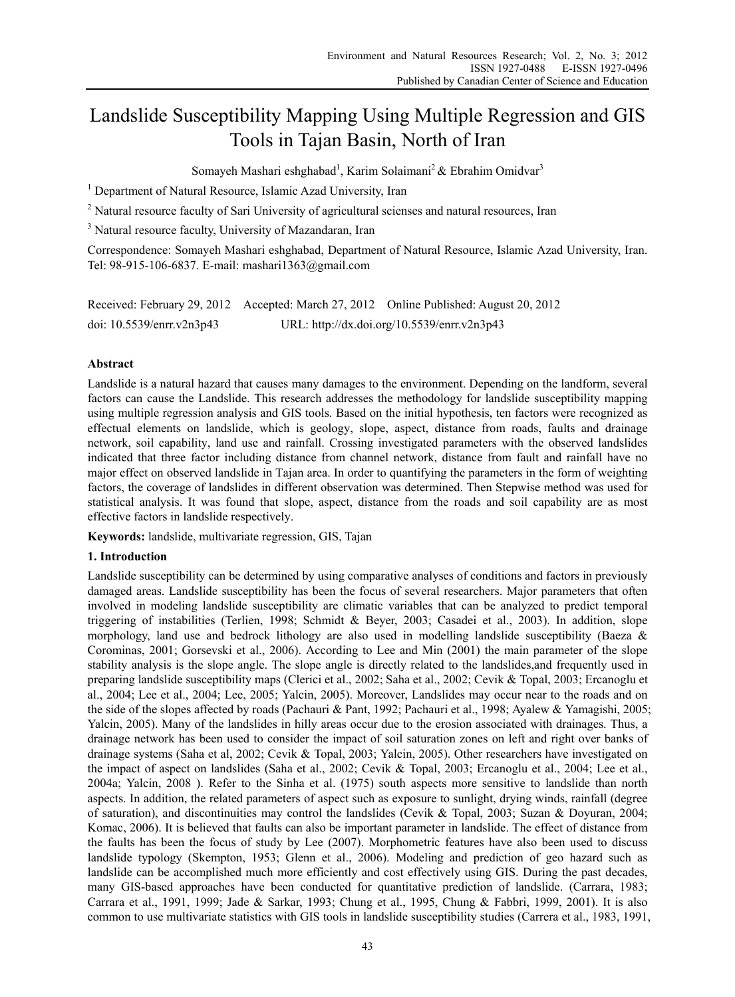# Landslide Susceptibility Mapping Using Multiple Regression and GIS Tools in Tajan Basin, North of Iran

Somayeh Mashari eshghabad<sup>1</sup>, Karim Solaimani<sup>2</sup> & Ebrahim Omidvar<sup>3</sup>

<sup>1</sup> Department of Natural Resource, Islamic Azad University, Iran

 $2$  Natural resource faculty of Sari University of agricultural scienses and natural resources, Iran

<sup>3</sup> Natural resource faculty, University of Mazandaran, Iran

Correspondence: Somayeh Mashari eshghabad, Department of Natural Resource, Islamic Azad University, Iran. Tel: 98-915-106-6837. E-mail: mashari1363@gmail.com

|                             | Received: February 29, 2012 Accepted: March 27, 2012 Online Published: August 20, 2012 |
|-----------------------------|----------------------------------------------------------------------------------------|
| doi: $10.5539/enrr.v2n3p43$ | URL: http://dx.doi.org/10.5539/enrr.v2n3p43                                            |

# **Abstract**

Landslide is a natural hazard that causes many damages to the environment. Depending on the landform, several factors can cause the Landslide. This research addresses the methodology for landslide susceptibility mapping using multiple regression analysis and GIS tools. Based on the initial hypothesis, ten factors were recognized as effectual elements on landslide, which is geology, slope, aspect, distance from roads, faults and drainage network, soil capability, land use and rainfall. Crossing investigated parameters with the observed landslides indicated that three factor including distance from channel network, distance from fault and rainfall have no major effect on observed landslide in Tajan area. In order to quantifying the parameters in the form of weighting factors, the coverage of landslides in different observation was determined. Then Stepwise method was used for statistical analysis. It was found that slope, aspect, distance from the roads and soil capability are as most effective factors in landslide respectively.

**Keywords:** landslide, multivariate regression, GIS, Tajan

# **1. Introduction**

Landslide susceptibility can be determined by using comparative analyses of conditions and factors in previously damaged areas. Landslide susceptibility has been the focus of several researchers. Major parameters that often involved in modeling landslide susceptibility are climatic variables that can be analyzed to predict temporal triggering of instabilities (Terlien, 1998; Schmidt & Beyer, 2003; Casadei et al., 2003). In addition, slope morphology, land use and bedrock lithology are also used in modelling landslide susceptibility (Baeza  $\&$ Corominas, 2001; Gorsevski et al., 2006). According to Lee and Min (2001) the main parameter of the slope stability analysis is the slope angle. The slope angle is directly related to the landslides,and frequently used in preparing landslide susceptibility maps (Clerici et al., 2002; Saha et al., 2002; Cevik & Topal, 2003; Ercanoglu et al., 2004; Lee et al., 2004; Lee, 2005; Yalcin, 2005). Moreover, Landslides may occur near to the roads and on the side of the slopes affected by roads (Pachauri & Pant, 1992; Pachauri et al., 1998; Ayalew & Yamagishi, 2005; Yalcin, 2005). Many of the landslides in hilly areas occur due to the erosion associated with drainages. Thus, a drainage network has been used to consider the impact of soil saturation zones on left and right over banks of drainage systems (Saha et al, 2002; Cevik & Topal, 2003; Yalcin, 2005). Other researchers have investigated on the impact of aspect on landslides (Saha et al., 2002; Cevik & Topal, 2003; Ercanoglu et al., 2004; Lee et al., 2004a; Yalcin, 2008 ). Refer to the Sinha et al. (1975) south aspects more sensitive to landslide than north aspects. In addition, the related parameters of aspect such as exposure to sunlight, drying winds, rainfall (degree of saturation), and discontinuities may control the landslides (Cevik & Topal, 2003; Suzan & Doyuran, 2004; Komac, 2006). It is believed that faults can also be important parameter in landslide. The effect of distance from the faults has been the focus of study by Lee (2007). Morphometric features have also been used to discuss landslide typology (Skempton, 1953; Glenn et al., 2006). Modeling and prediction of geo hazard such as landslide can be accomplished much more efficiently and cost effectively using GIS. During the past decades, many GIS-based approaches have been conducted for quantitative prediction of landslide. (Carrara, 1983; Carrara et al., 1991, 1999; Jade & Sarkar, 1993; Chung et al., 1995, Chung & Fabbri, 1999, 2001). It is also common to use multivariate statistics with GIS tools in landslide susceptibility studies (Carrera et al., 1983, 1991,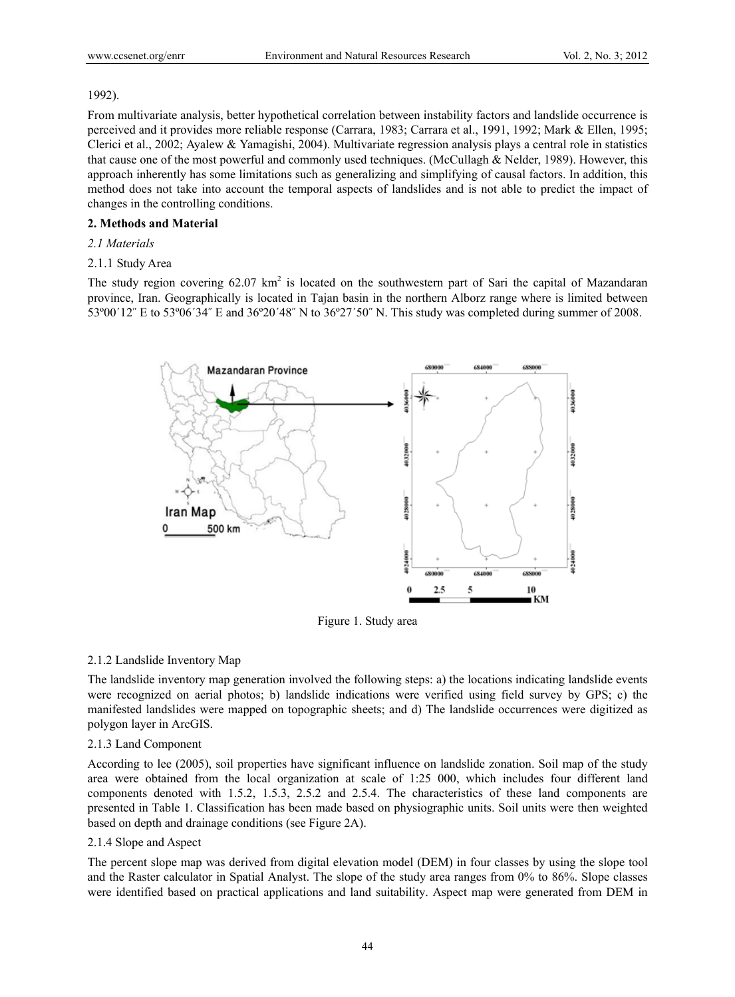## 1992).

From multivariate analysis, better hypothetical correlation between instability factors and landslide occurrence is perceived and it provides more reliable response (Carrara, 1983; Carrara et al., 1991, 1992; Mark & Ellen, 1995; Clerici et al., 2002; Ayalew & Yamagishi, 2004). Multivariate regression analysis plays a central role in statistics that cause one of the most powerful and commonly used techniques. (McCullagh & Nelder, 1989). However, this approach inherently has some limitations such as generalizing and simplifying of causal factors. In addition, this method does not take into account the temporal aspects of landslides and is not able to predict the impact of changes in the controlling conditions.

## **2. Methods and Material**

# *2.1 Materials*

# 2.1.1 Study Area

The study region covering  $62.07 \text{ km}^2$  is located on the southwestern part of Sari the capital of Mazandaran province, Iran. Geographically is located in Tajan basin in the northern Alborz range where is limited between 53º00´12˝ E to 53º06´34˝ E and 36º20´48˝ N to 36º27´50˝ N. This study was completed during summer of 2008.



Figure 1. Study area

#### 2.1.2 Landslide Inventory Map

The landslide inventory map generation involved the following steps: a) the locations indicating landslide events were recognized on aerial photos; b) landslide indications were verified using field survey by GPS; c) the manifested landslides were mapped on topographic sheets; and d) The landslide occurrences were digitized as polygon layer in ArcGIS.

#### 2.1.3 Land Component

According to lee (2005), soil properties have significant influence on landslide zonation. Soil map of the study area were obtained from the local organization at scale of 1:25 000, which includes four different land components denoted with 1.5.2, 1.5.3, 2.5.2 and 2.5.4. The characteristics of these land components are presented in Table 1. Classification has been made based on physiographic units. Soil units were then weighted based on depth and drainage conditions (see Figure 2A).

#### 2.1.4 Slope and Aspect

The percent slope map was derived from digital elevation model (DEM) in four classes by using the slope tool and the Raster calculator in Spatial Analyst. The slope of the study area ranges from 0% to 86%. Slope classes were identified based on practical applications and land suitability. Aspect map were generated from DEM in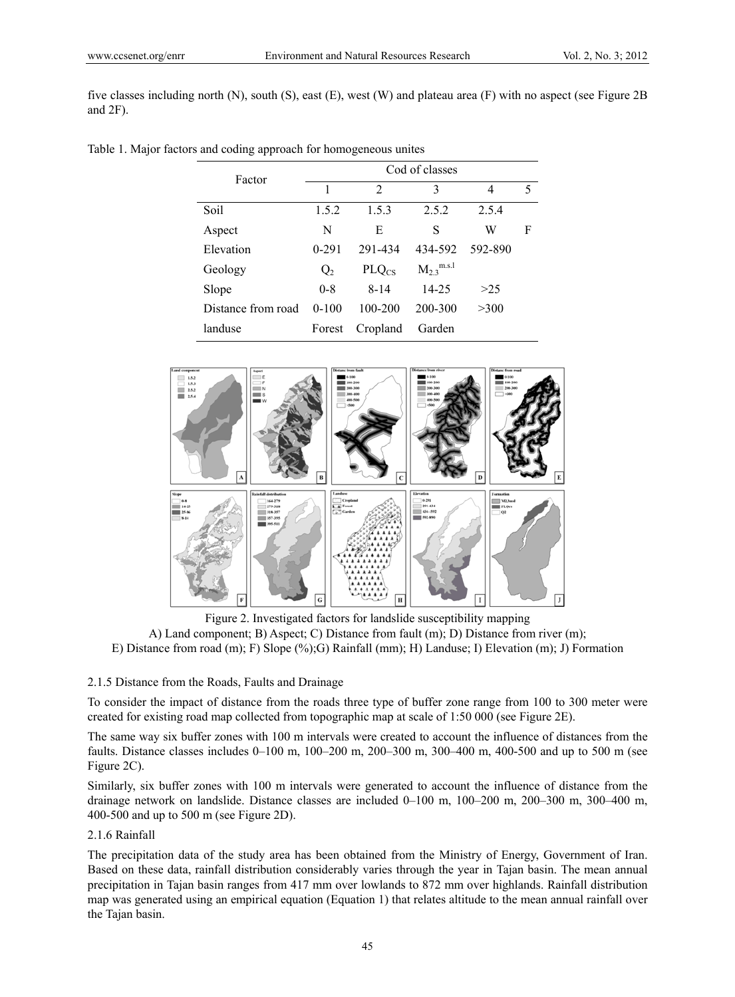five classes including north (N), south (S), east (E), west (W) and plateau area (F) with no aspect (see Figure 2B and 2F).

|  |  |  | Table 1. Major factors and coding approach for homogeneous unites |  |
|--|--|--|-------------------------------------------------------------------|--|
|  |  |  |                                                                   |  |

| Factor             | Cod of classes |                |                   |         |   |  |
|--------------------|----------------|----------------|-------------------|---------|---|--|
|                    | 1              | $\mathfrak{D}$ | 3                 | 4       | 5 |  |
| Soil               | 1.5.2          | 1.5.3          | 2.5.2             | 2.5.4   |   |  |
| Aspect             | N              | E              | S                 | W       | F |  |
| Elevation          | $0 - 291$      | 291-434        | 434-592           | 592-890 |   |  |
| Geology            | Q <sub>2</sub> | $PLQ_{CS}$     | $M_{2.3}^{m.s.1}$ |         |   |  |
| Slope              | $0 - 8$        | $8 - 14$       | $14 - 25$         | >25     |   |  |
| Distance from road | $0-100$        | 100-200        | 200-300           | >300    |   |  |
| landuse            | Forest         | Cropland       | Garden            |         |   |  |



Figure 2. Investigated factors for landslide susceptibility mapping A) Land component; B) Aspect; C) Distance from fault (m); D) Distance from river (m); E) Distance from road (m); F) Slope (%);G) Rainfall (mm); H) Landuse; I) Elevation (m); J) Formation

### 2.1.5 Distance from the Roads, Faults and Drainage

To consider the impact of distance from the roads three type of buffer zone range from 100 to 300 meter were created for existing road map collected from topographic map at scale of 1:50 000 (see Figure 2E).

The same way six buffer zones with 100 m intervals were created to account the influence of distances from the faults. Distance classes includes 0–100 m, 100–200 m, 200–300 m, 300–400 m, 400-500 and up to 500 m (see Figure 2C).

Similarly, six buffer zones with 100 m intervals were generated to account the influence of distance from the drainage network on landslide. Distance classes are included 0–100 m, 100–200 m, 200–300 m, 300–400 m, 400-500 and up to 500 m (see Figure 2D).

## 2.1.6 Rainfall

The precipitation data of the study area has been obtained from the Ministry of Energy, Government of Iran. Based on these data, rainfall distribution considerably varies through the year in Tajan basin. The mean annual precipitation in Tajan basin ranges from 417 mm over lowlands to 872 mm over highlands. Rainfall distribution map was generated using an empirical equation (Equation 1) that relates altitude to the mean annual rainfall over the Tajan basin.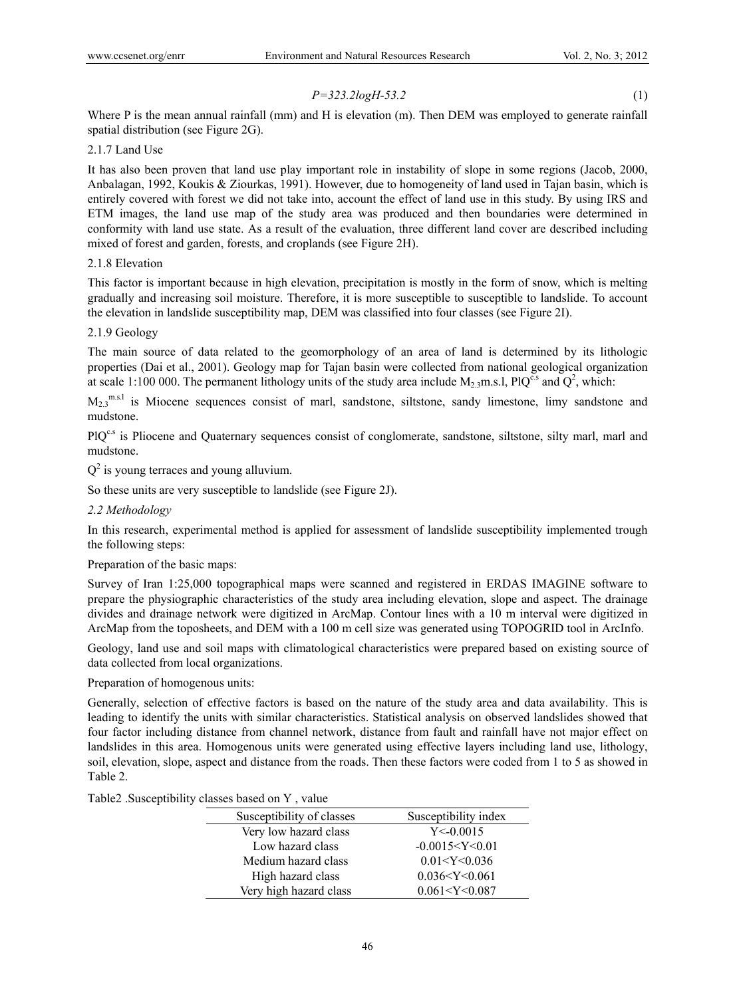# *P=323.2logH-53.2* (1)

Where P is the mean annual rainfall (mm) and H is elevation (m). Then DEM was employed to generate rainfall spatial distribution (see Figure 2G).

# 2.1.7 Land Use

It has also been proven that land use play important role in instability of slope in some regions (Jacob, 2000, Anbalagan, 1992, Koukis & Ziourkas, 1991). However, due to homogeneity of land used in Tajan basin, which is entirely covered with forest we did not take into, account the effect of land use in this study. By using IRS and ETM images, the land use map of the study area was produced and then boundaries were determined in conformity with land use state. As a result of the evaluation, three different land cover are described including mixed of forest and garden, forests, and croplands (see Figure 2H).

# 2.1.8 Elevation

This factor is important because in high elevation, precipitation is mostly in the form of snow, which is melting gradually and increasing soil moisture. Therefore, it is more susceptible to susceptible to landslide. To account the elevation in landslide susceptibility map, DEM was classified into four classes (see Figure 2I).

# 2.1.9 Geology

The main source of data related to the geomorphology of an area of land is determined by its lithologic properties (Dai et al., 2001). Geology map for Tajan basin were collected from national geological organization at scale 1:100 000. The permanent lithology units of the study area include  $M_{2,3}$ m.s.l, PlQ<sup>c.s</sup> and Q<sup>2</sup>, which:

 $M_2$ <sup>m.s.l</sup> is Miocene sequences consist of marl, sandstone, siltstone, sandy limestone, limy sandstone and mudstone.

PlQ<sup>c.s</sup> is Pliocene and Quaternary sequences consist of conglomerate, sandstone, siltstone, silty marl, marl and mudstone.

 $Q^2$  is young terraces and young alluvium.

So these units are very susceptible to landslide (see Figure 2J).

# *2.2 Methodology*

In this research, experimental method is applied for assessment of landslide susceptibility implemented trough the following steps:

Preparation of the basic maps:

Survey of Iran 1:25,000 topographical maps were scanned and registered in ERDAS IMAGINE software to prepare the physiographic characteristics of the study area including elevation, slope and aspect. The drainage divides and drainage network were digitized in ArcMap. Contour lines with a 10 m interval were digitized in ArcMap from the toposheets, and DEM with a 100 m cell size was generated using TOPOGRID tool in ArcInfo.

Geology, land use and soil maps with climatological characteristics were prepared based on existing source of data collected from local organizations.

Preparation of homogenous units:

Generally, selection of effective factors is based on the nature of the study area and data availability. This is leading to identify the units with similar characteristics. Statistical analysis on observed landslides showed that four factor including distance from channel network, distance from fault and rainfall have not major effect on landslides in this area. Homogenous units were generated using effective layers including land use, lithology, soil, elevation, slope, aspect and distance from the roads. Then these factors were coded from 1 to 5 as showed in Table 2.

|  | Table2 .Susceptibility classes based on Y, value |  |  |  |  |  |
|--|--------------------------------------------------|--|--|--|--|--|
|--|--------------------------------------------------|--|--|--|--|--|

| $\mu$ <sub>0</sub> , $\sigma$ <sub>0</sub> , $\sigma$ <sub>0</sub> , $\sigma$ <sub>0</sub> , $\sigma$ <sub>1</sub> , $\sigma$ <sub>1</sub> , $\sigma$ <sub>1</sub> , $\sigma$ <sub>1</sub> , $\sigma$ <sub>1</sub> , $\sigma$ <sub>1</sub> , $\sigma$ <sub>1</sub> , $\sigma$ <sub>1</sub> , $\sigma$ <sub>1</sub> , $\sigma$ <sub>1</sub> , $\sigma$ <sub>1</sub> , $\sigma$ <sub>1</sub> , $\sigma$ <sub>1</sub> , $\sigma$ <sub>1</sub> , $\sigma$ <sub>1</sub> , $\sigma$ <sub>1</sub> , $\sigma$ <sub>1</sub> , $\sigma$ <sub>1</sub> , $\sigma$ <sub>1</sub> , $\sigma$ <sub>1</sub> , $\sigma$ <sub></sub> |                      |
|-------------------------------------------------------------------------------------------------------------------------------------------------------------------------------------------------------------------------------------------------------------------------------------------------------------------------------------------------------------------------------------------------------------------------------------------------------------------------------------------------------------------------------------------------------------------------------------------------------------------|----------------------|
| Susceptibility of classes                                                                                                                                                                                                                                                                                                                                                                                                                                                                                                                                                                                         | Susceptibility index |
| Very low hazard class                                                                                                                                                                                                                                                                                                                                                                                                                                                                                                                                                                                             | Y < 0.0015           |
| Low hazard class                                                                                                                                                                                                                                                                                                                                                                                                                                                                                                                                                                                                  | $-0.0015 < Y < 0.01$ |
| Medium hazard class                                                                                                                                                                                                                                                                                                                                                                                                                                                                                                                                                                                               | 0.01 < Y < 0.036     |
| High hazard class                                                                                                                                                                                                                                                                                                                                                                                                                                                                                                                                                                                                 | 0.036 < Y < 0.061    |
| Very high hazard class                                                                                                                                                                                                                                                                                                                                                                                                                                                                                                                                                                                            | 0.061 < Y < 0.087    |
|                                                                                                                                                                                                                                                                                                                                                                                                                                                                                                                                                                                                                   |                      |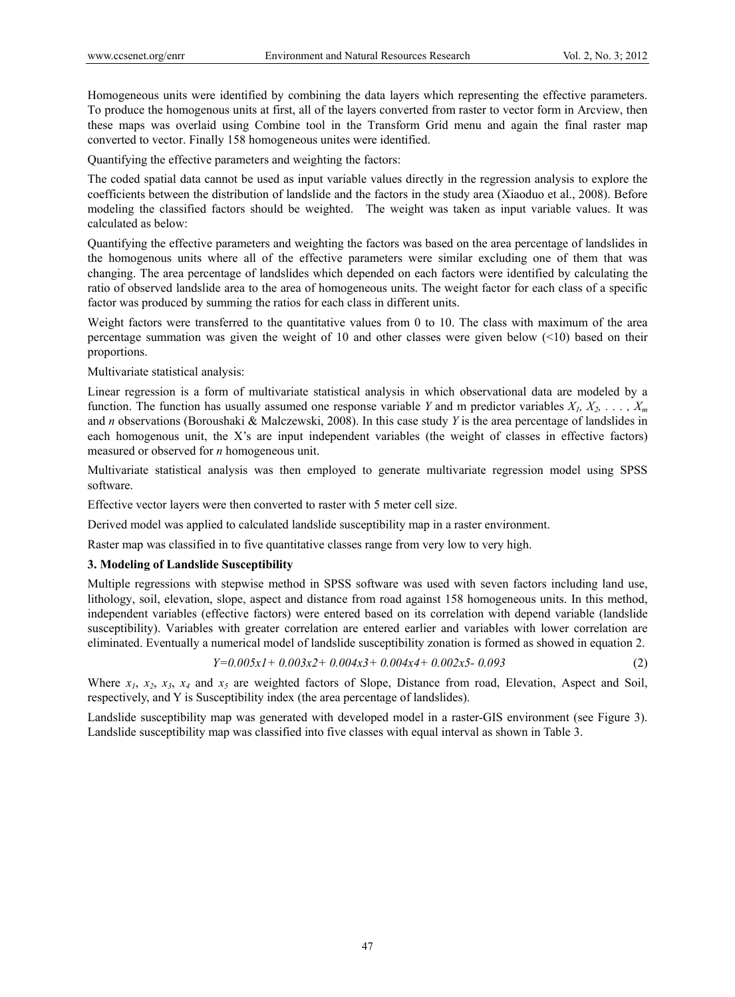Homogeneous units were identified by combining the data layers which representing the effective parameters. To produce the homogenous units at first, all of the layers converted from raster to vector form in Arcview, then these maps was overlaid using Combine tool in the Transform Grid menu and again the final raster map converted to vector. Finally 158 homogeneous unites were identified.

Quantifying the effective parameters and weighting the factors:

The coded spatial data cannot be used as input variable values directly in the regression analysis to explore the coefficients between the distribution of landslide and the factors in the study area (Xiaoduo et al., 2008). Before modeling the classified factors should be weighted. The weight was taken as input variable values. It was calculated as below:

Quantifying the effective parameters and weighting the factors was based on the area percentage of landslides in the homogenous units where all of the effective parameters were similar excluding one of them that was changing. The area percentage of landslides which depended on each factors were identified by calculating the ratio of observed landslide area to the area of homogeneous units. The weight factor for each class of a specific factor was produced by summing the ratios for each class in different units.

Weight factors were transferred to the quantitative values from 0 to 10. The class with maximum of the area percentage summation was given the weight of 10 and other classes were given below (<10) based on their proportions.

Multivariate statistical analysis:

Linear regression is a form of multivariate statistical analysis in which observational data are modeled by a function. The function has usually assumed one response variable *Y* and m predictor variables  $X_1, X_2, \ldots, X_m$ and *n* observations (Boroushaki & Malczewski, 2008). In this case study *Y* is the area percentage of landslides in each homogenous unit, the X's are input independent variables (the weight of classes in effective factors) measured or observed for *n* homogeneous unit.

Multivariate statistical analysis was then employed to generate multivariate regression model using SPSS software.

Effective vector layers were then converted to raster with 5 meter cell size.

Derived model was applied to calculated landslide susceptibility map in a raster environment.

Raster map was classified in to five quantitative classes range from very low to very high.

### **3. Modeling of Landslide Susceptibility**

Multiple regressions with stepwise method in SPSS software was used with seven factors including land use, lithology, soil, elevation, slope, aspect and distance from road against 158 homogeneous units. In this method, independent variables (effective factors) were entered based on its correlation with depend variable (landslide susceptibility). Variables with greater correlation are entered earlier and variables with lower correlation are eliminated. Eventually a numerical model of landslide susceptibility zonation is formed as showed in equation 2.

$$
Y=0.005xI+0.003x2+0.004x3+0.004x4+0.002x5-0.093
$$
\n<sup>(2)</sup>

Where  $x_1$ ,  $x_2$ ,  $x_3$ ,  $x_4$  and  $x_5$  are weighted factors of Slope, Distance from road, Elevation, Aspect and Soil, respectively, and Y is Susceptibility index (the area percentage of landslides).

Landslide susceptibility map was generated with developed model in a raster-GIS environment (see Figure 3). Landslide susceptibility map was classified into five classes with equal interval as shown in Table 3.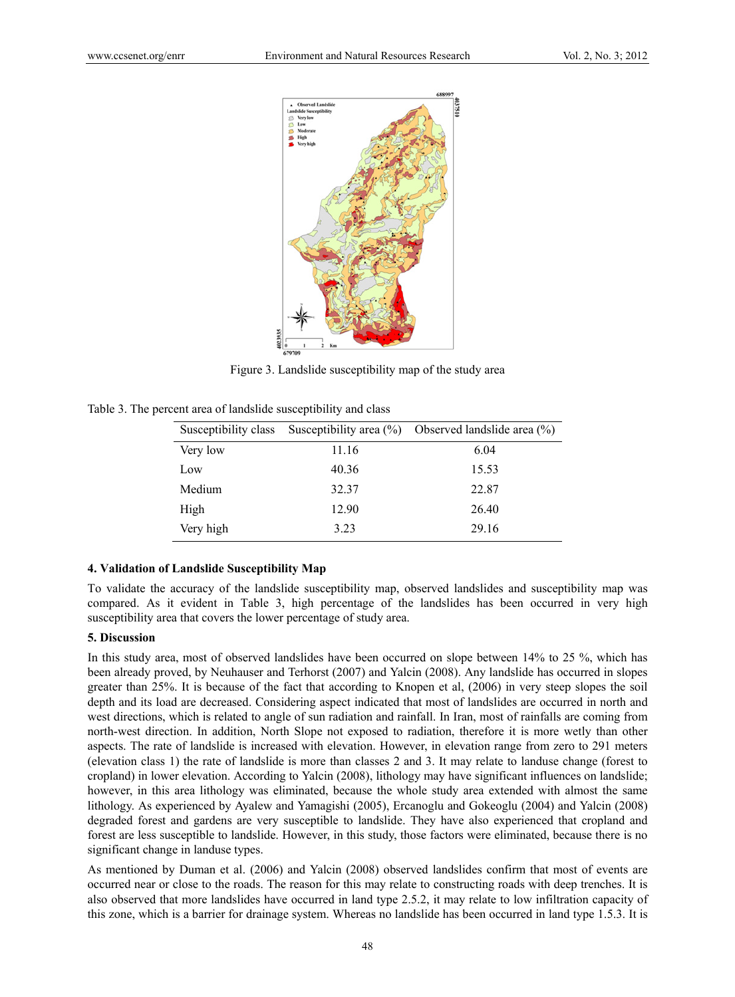

Figure 3. Landslide susceptibility map of the study area

| Susceptibility class | Susceptibility area $(\% )$ | Observed landslide area $(\% )$ |
|----------------------|-----------------------------|---------------------------------|
| Very low             | 11.16                       | 6.04                            |
| Low                  | 40.36                       | 15.53                           |
| Medium               | 32.37                       | 22.87                           |
| High                 | 12.90                       | 26.40                           |
| Very high            | 3.23                        | 29.16                           |

Table 3. The percent area of landslide susceptibility and class

## **4. Validation of Landslide Susceptibility Map**

To validate the accuracy of the landslide susceptibility map, observed landslides and susceptibility map was compared. As it evident in Table 3, high percentage of the landslides has been occurred in very high susceptibility area that covers the lower percentage of study area.

## **5. Discussion**

In this study area, most of observed landslides have been occurred on slope between 14% to 25 %, which has been already proved, by Neuhauser and Terhorst (2007) and Yalcin (2008). Any landslide has occurred in slopes greater than 25%. It is because of the fact that according to Knopen et al, (2006) in very steep slopes the soil depth and its load are decreased. Considering aspect indicated that most of landslides are occurred in north and west directions, which is related to angle of sun radiation and rainfall. In Iran, most of rainfalls are coming from north-west direction. In addition, North Slope not exposed to radiation, therefore it is more wetly than other aspects. The rate of landslide is increased with elevation. However, in elevation range from zero to 291 meters (elevation class 1) the rate of landslide is more than classes 2 and 3. It may relate to landuse change (forest to cropland) in lower elevation. According to Yalcin (2008), lithology may have significant influences on landslide; however, in this area lithology was eliminated, because the whole study area extended with almost the same lithology. As experienced by Ayalew and Yamagishi (2005), Ercanoglu and Gokeoglu (2004) and Yalcin (2008) degraded forest and gardens are very susceptible to landslide. They have also experienced that cropland and forest are less susceptible to landslide. However, in this study, those factors were eliminated, because there is no significant change in landuse types.

As mentioned by Duman et al. (2006) and Yalcin (2008) observed landslides confirm that most of events are occurred near or close to the roads. The reason for this may relate to constructing roads with deep trenches. It is also observed that more landslides have occurred in land type 2.5.2, it may relate to low infiltration capacity of this zone, which is a barrier for drainage system. Whereas no landslide has been occurred in land type 1.5.3. It is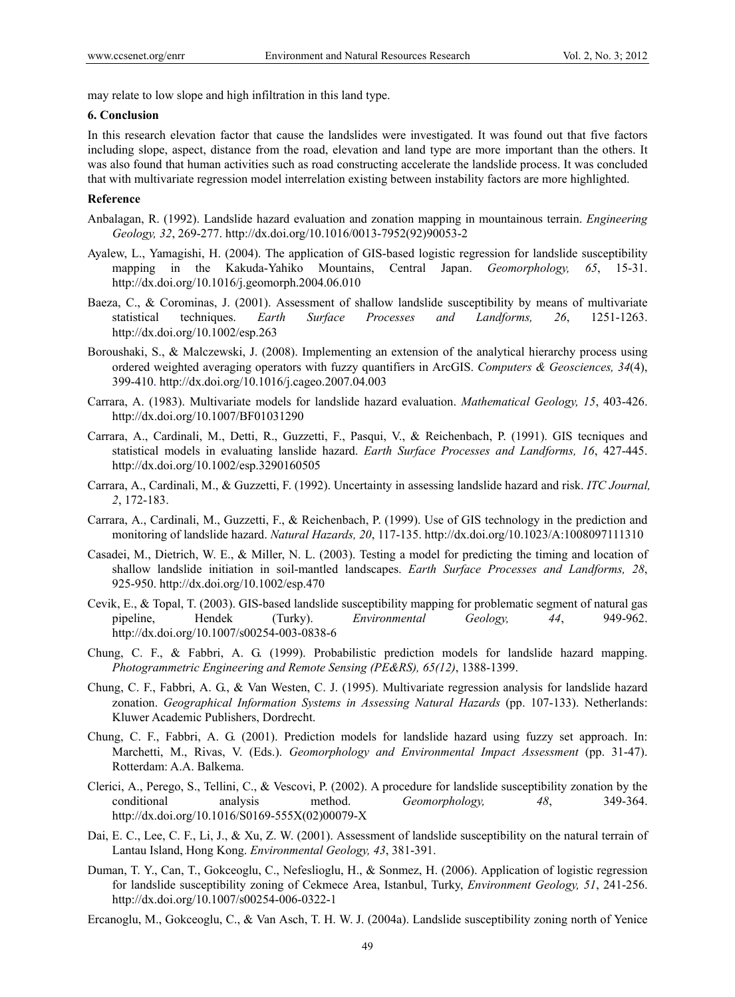may relate to low slope and high infiltration in this land type.

## **6. Conclusion**

In this research elevation factor that cause the landslides were investigated. It was found out that five factors including slope, aspect, distance from the road, elevation and land type are more important than the others. It was also found that human activities such as road constructing accelerate the landslide process. It was concluded that with multivariate regression model interrelation existing between instability factors are more highlighted.

## **Reference**

- Anbalagan, R. (1992). Landslide hazard evaluation and zonation mapping in mountainous terrain. *Engineering Geology, 32*, 269-277. http://dx.doi.org/10.1016/0013-7952(92)90053-2
- Ayalew, L., Yamagishi, H. (2004). The application of GIS-based logistic regression for landslide susceptibility mapping in the Kakuda-Yahiko Mountains, Central Japan. *Geomorphology, 65*, 15-31. http://dx.doi.org/10.1016/j.geomorph.2004.06.010
- Baeza, C., & Corominas, J. (2001). Assessment of shallow landslide susceptibility by means of multivariate statistical techniques. *Earth Surface Processes and Landforms, 26*, 1251-1263. http://dx.doi.org/10.1002/esp.263
- Boroushaki, S., & Malczewski, J. (2008). Implementing an extension of the analytical hierarchy process using ordered weighted averaging operators with fuzzy quantifiers in ArcGIS. *Computers & Geosciences, 34*(4), 399-410. http://dx.doi.org/10.1016/j.cageo.2007.04.003
- Carrara, A. (1983). Multivariate models for landslide hazard evaluation. *Mathematical Geology, 15*, 403-426. http://dx.doi.org/10.1007/BF01031290
- Carrara, A., Cardinali, M., Detti, R., Guzzetti, F., Pasqui, V., & Reichenbach, P. (1991). GIS tecniques and statistical models in evaluating lanslide hazard. *Earth Surface Processes and Landforms, 16*, 427-445. http://dx.doi.org/10.1002/esp.3290160505
- Carrara, A., Cardinali, M., & Guzzetti, F. (1992). Uncertainty in assessing landslide hazard and risk. *ITC Journal, 2*, 172-183.
- Carrara, A., Cardinali, M., Guzzetti, F., & Reichenbach, P. (1999). Use of GIS technology in the prediction and monitoring of landslide hazard. *Natural Hazards, 20*, 117-135. http://dx.doi.org/10.1023/A:1008097111310
- Casadei, M., Dietrich, W. E., & Miller, N. L. (2003). Testing a model for predicting the timing and location of shallow landslide initiation in soil-mantled landscapes. *Earth Surface Processes and Landforms, 28*, 925-950. http://dx.doi.org/10.1002/esp.470
- Cevik, E., & Topal, T. (2003). GIS-based landslide susceptibility mapping for problematic segment of natural gas pipeline, Hendek (Turky). *Environmental Geology, 44*, 949-962. http://dx.doi.org/10.1007/s00254-003-0838-6
- Chung, C. F., & Fabbri, A. G. (1999). Probabilistic prediction models for landslide hazard mapping. *Photogrammetric Engineering and Remote Sensing (PE&RS), 65(12)*, 1388-1399.
- Chung, C. F., Fabbri, A. G., & Van Westen, C. J. (1995). Multivariate regression analysis for landslide hazard zonation. *Geographical Information Systems in Assessing Natural Hazards* (pp. 107-133). Netherlands: Kluwer Academic Publishers, Dordrecht.
- Chung, C. F., Fabbri, A. G. (2001). Prediction models for landslide hazard using fuzzy set approach. In: Marchetti, M., Rivas, V. (Eds.). *Geomorphology and Environmental Impact Assessment* (pp. 31-47). Rotterdam: A.A. Balkema.
- Clerici, A., Perego, S., Tellini, C., & Vescovi, P. (2002). A procedure for landslide susceptibility zonation by the conditional analysis method. *Geomorphology, 48*, 349-364. http://dx.doi.org/10.1016/S0169-555X(02)00079-X
- Dai, E. C., Lee, C. F., Li, J., & Xu, Z. W. (2001). Assessment of landslide susceptibility on the natural terrain of Lantau Island, Hong Kong. *Environmental Geology, 43*, 381-391.
- Duman, T. Y., Can, T., Gokceoglu, C., Nefeslioglu, H., & Sonmez, H. (2006). Application of logistic regression for landslide susceptibility zoning of Cekmece Area, Istanbul, Turky, *Environment Geology, 51*, 241-256. http://dx.doi.org/10.1007/s00254-006-0322-1
- Ercanoglu, M., Gokceoglu, C., & Van Asch, T. H. W. J. (2004a). Landslide susceptibility zoning north of Yenice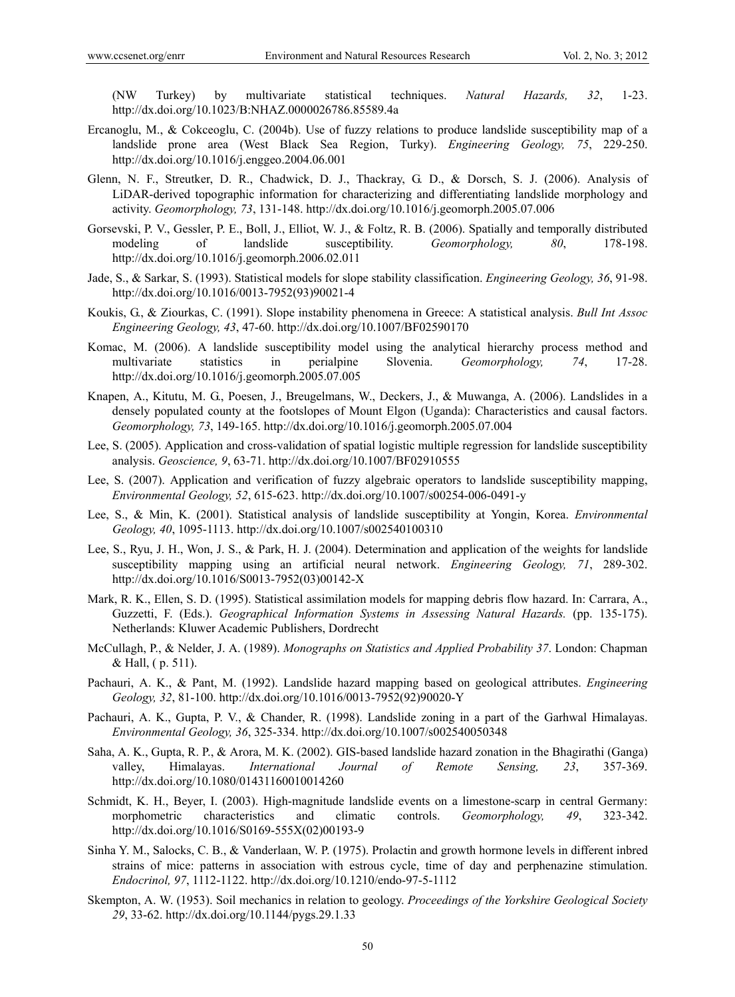(NW Turkey) by multivariate statistical techniques. *Natural Hazards, 32*, 1-23. http://dx.doi.org/10.1023/B:NHAZ.0000026786.85589.4a

- Ercanoglu, M., & Cokceoglu, C. (2004b). Use of fuzzy relations to produce landslide susceptibility map of a landslide prone area (West Black Sea Region, Turky). *Engineering Geology, 75*, 229-250. http://dx.doi.org/10.1016/j.enggeo.2004.06.001
- Glenn, N. F., Streutker, D. R., Chadwick, D. J., Thackray, G. D., & Dorsch, S. J. (2006). Analysis of LiDAR-derived topographic information for characterizing and differentiating landslide morphology and activity. *Geomorphology, 73*, 131-148. http://dx.doi.org/10.1016/j.geomorph.2005.07.006
- Gorsevski, P. V., Gessler, P. E., Boll, J., Elliot, W. J., & Foltz, R. B. (2006). Spatially and temporally distributed modeling of landslide susceptibility. *Geomorphology*, 80, 178-198. http://dx.doi.org/10.1016/j.geomorph.2006.02.011
- Jade, S., & Sarkar, S. (1993). Statistical models for slope stability classification. *Engineering Geology, 36*, 91-98. http://dx.doi.org/10.1016/0013-7952(93)90021-4
- Koukis, G., & Ziourkas, C. (1991). Slope instability phenomena in Greece: A statistical analysis. *Bull Int Assoc Engineering Geology, 43*, 47-60. http://dx.doi.org/10.1007/BF02590170
- Komac, M. (2006). A landslide susceptibility model using the analytical hierarchy process method and multivariate statistics in perialpine Slovenia. *Geomorphology, 74*, 17-28. http://dx.doi.org/10.1016/j.geomorph.2005.07.005
- Knapen, A., Kitutu, M. G., Poesen, J., Breugelmans, W., Deckers, J., & Muwanga, A. (2006). Landslides in a densely populated county at the footslopes of Mount Elgon (Uganda): Characteristics and causal factors. *Geomorphology, 73*, 149-165. http://dx.doi.org/10.1016/j.geomorph.2005.07.004
- Lee, S. (2005). Application and cross-validation of spatial logistic multiple regression for landslide susceptibility analysis. *Geoscience, 9*, 63-71. http://dx.doi.org/10.1007/BF02910555
- Lee, S. (2007). Application and verification of fuzzy algebraic operators to landslide susceptibility mapping, *Environmental Geology, 52*, 615-623. http://dx.doi.org/10.1007/s00254-006-0491-y
- Lee, S., & Min, K. (2001). Statistical analysis of landslide susceptibility at Yongin, Korea. *Environmental Geology, 40*, 1095-1113. http://dx.doi.org/10.1007/s002540100310
- Lee, S., Ryu, J. H., Won, J. S., & Park, H. J. (2004). Determination and application of the weights for landslide susceptibility mapping using an artificial neural network. *Engineering Geology, 71*, 289-302. http://dx.doi.org/10.1016/S0013-7952(03)00142-X
- Mark, R. K., Ellen, S. D. (1995). Statistical assimilation models for mapping debris flow hazard. In: Carrara, A., Guzzetti, F. (Eds.). *Geographical Information Systems in Assessing Natural Hazards.* (pp. 135-175). Netherlands: Kluwer Academic Publishers, Dordrecht
- McCullagh, P., & Nelder, J. A. (1989). *Monographs on Statistics and Applied Probability 37*. London: Chapman & Hall, ( p. 511).
- Pachauri, A. K., & Pant, M. (1992). Landslide hazard mapping based on geological attributes. *Engineering Geology, 32*, 81-100. http://dx.doi.org/10.1016/0013-7952(92)90020-Y
- Pachauri, A. K., Gupta, P. V., & Chander, R. (1998). Landslide zoning in a part of the Garhwal Himalayas. *Environmental Geology, 36*, 325-334. http://dx.doi.org/10.1007/s002540050348
- Saha, A. K., Gupta, R. P., & Arora, M. K. (2002). GIS-based landslide hazard zonation in the Bhagirathi (Ganga) valley, Himalayas. *International Journal of Remote Sensing, 23*, 357-369. http://dx.doi.org/10.1080/01431160010014260
- Schmidt, K. H., Beyer, I. (2003). High-magnitude landslide events on a limestone-scarp in central Germany: morphometric characteristics and climatic controls. *Geomorphology, 49*, 323-342. http://dx.doi.org/10.1016/S0169-555X(02)00193-9
- Sinha Y. M., Salocks, C. B., & Vanderlaan, W. P. (1975). Prolactin and growth hormone levels in different inbred strains of mice: patterns in association with estrous cycle, time of day and perphenazine stimulation. *Endocrinol, 97*, 1112-1122. http://dx.doi.org/10.1210/endo-97-5-1112
- Skempton, A. W. (1953). Soil mechanics in relation to geology. *Proceedings of the Yorkshire Geological Society 29*, 33-62. http://dx.doi.org/10.1144/pygs.29.1.33